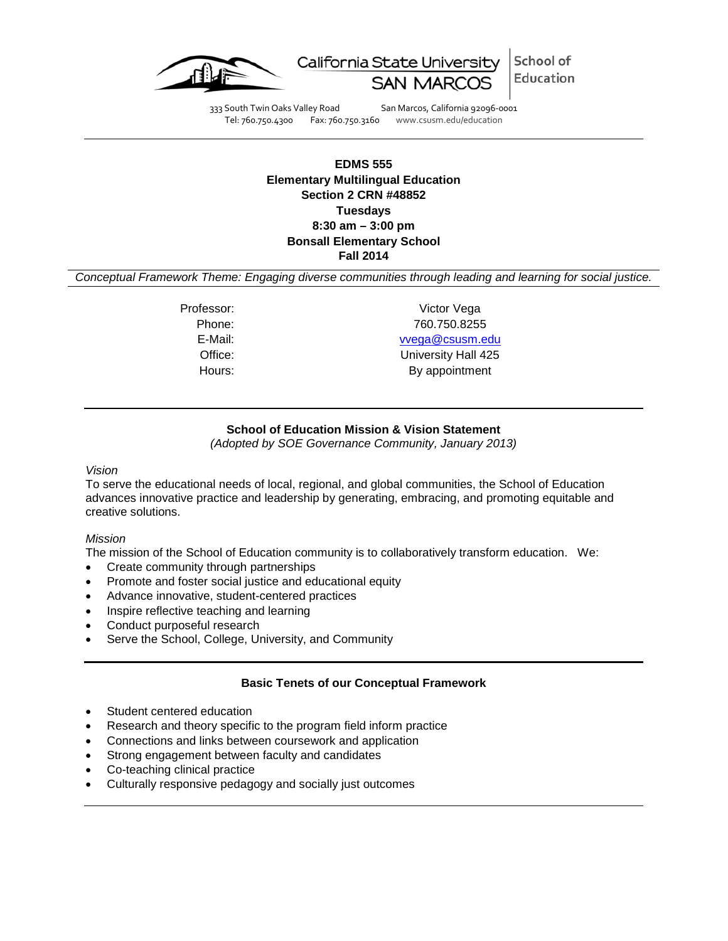

School of California State University Education

333 South Twin Oaks Valley Road San Marcos, California 92096-0001 Tel: 760.750.4300 Fax: 760.750.3160 www.csusm.edu/education

# **EDMS 555 Elementary Multilingual Education Section 2 CRN #48852 Tuesdays 8:30 am – 3:00 pm Bonsall Elementary School Fall 2014**

*Conceptual Framework Theme: Engaging diverse communities through leading and learning for social justice.*

Professor: Victor Vega Phone: 760.750.8255

#### E-Mail: [vvega@csusm.edu](mailto:vvega@csusm.edu)

Office: University Hall 425 Hours: By appointment

# **School of Education Mission & Vision Statement**

*(Adopted by SOE Governance Community, January 2013)*

#### <span id="page-0-0"></span>*Vision*

To serve the educational needs of local, regional, and global communities, the School of Education advances innovative practice and leadership by generating, embracing, and promoting equitable and creative solutions.

### *Mission*

The mission of the School of Education community is to collaboratively transform education. We:

- Create community through partnerships
- Promote and foster social justice and educational equity
- Advance innovative, student-centered practices
- Inspire reflective teaching and learning
- Conduct purposeful research
- Serve the School, College, University, and Community

#### **Basic Tenets of our Conceptual Framework**

- <span id="page-0-1"></span>Student centered education
- Research and theory specific to the program field inform practice
- Connections and links between coursework and application
- Strong engagement between faculty and candidates
- Co-teaching clinical practice
- Culturally responsive pedagogy and socially just outcomes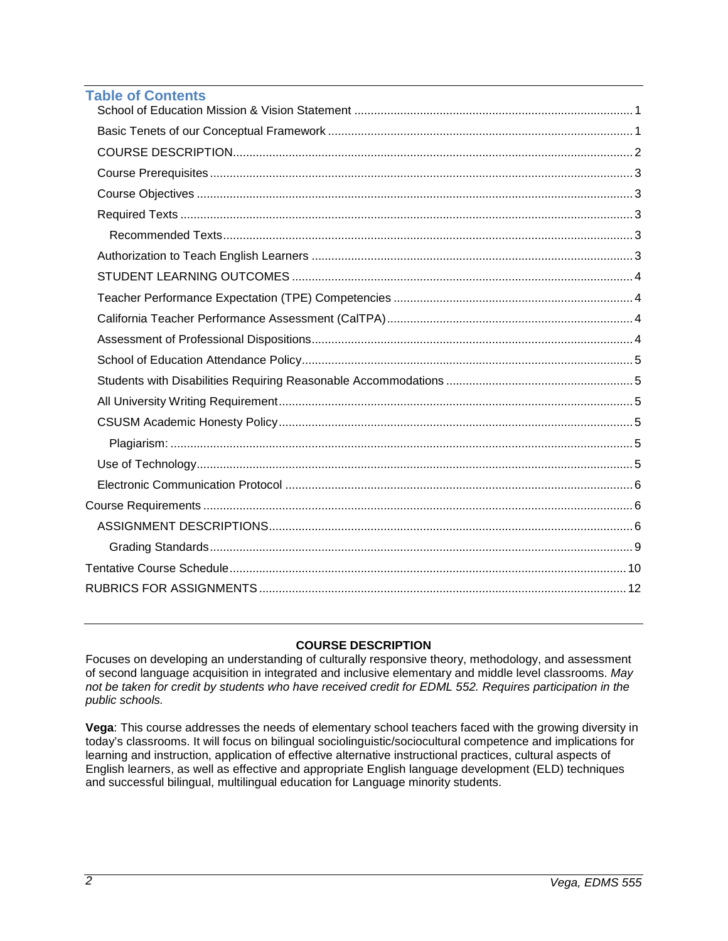| <b>Table of Contents</b> |  |
|--------------------------|--|
|                          |  |
|                          |  |
|                          |  |
|                          |  |
|                          |  |
|                          |  |
|                          |  |
|                          |  |
|                          |  |
|                          |  |
|                          |  |
|                          |  |
|                          |  |
|                          |  |
|                          |  |
|                          |  |
|                          |  |
|                          |  |
|                          |  |
|                          |  |
|                          |  |
|                          |  |
|                          |  |
|                          |  |

# **COURSE DESCRIPTION**

<span id="page-1-0"></span>Focuses on developing an understanding of culturally responsive theory, methodology, and assessment of second language acquisition in integrated and inclusive elementary and middle level classrooms. *May not be taken for credit by students who have received credit for EDML 552. Requires participation in the public schools.*

<span id="page-1-1"></span>**Vega**: This course addresses the needs of elementary school teachers faced with the growing diversity in today's classrooms. It will focus on bilingual sociolinguistic/sociocultural competence and implications for learning and instruction, application of effective alternative instructional practices, cultural aspects of English learners, as well as effective and appropriate English language development (ELD) techniques and successful bilingual, multilingual education for Language minority students.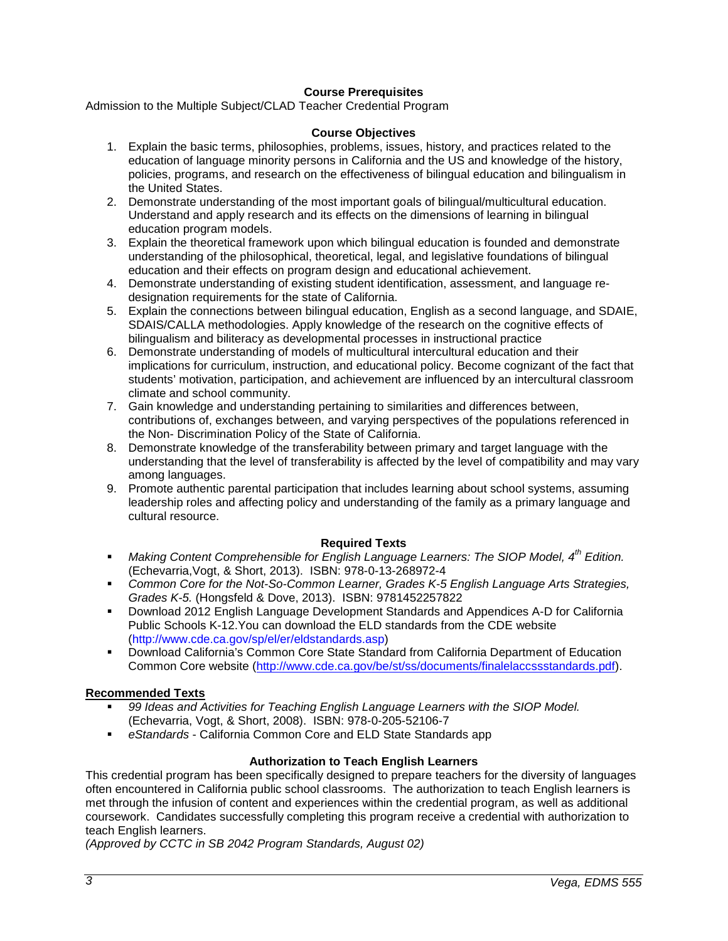# **Course Prerequisites**

<span id="page-2-0"></span>Admission to the Multiple Subject/CLAD Teacher Credential Program

#### **Course Objectives**

- 1. Explain the basic terms, philosophies, problems, issues, history, and practices related to the education of language minority persons in California and the US and knowledge of the history, policies, programs, and research on the effectiveness of bilingual education and bilingualism in the United States.
- 2. Demonstrate understanding of the most important goals of bilingual/multicultural education. Understand and apply research and its effects on the dimensions of learning in bilingual education program models.
- 3. Explain the theoretical framework upon which bilingual education is founded and demonstrate understanding of the philosophical, theoretical, legal, and legislative foundations of bilingual education and their effects on program design and educational achievement.
- 4. Demonstrate understanding of existing student identification, assessment, and language redesignation requirements for the state of California.
- 5. Explain the connections between bilingual education, English as a second language, and SDAIE, SDAIS/CALLA methodologies. Apply knowledge of the research on the cognitive effects of bilingualism and biliteracy as developmental processes in instructional practice
- 6. Demonstrate understanding of models of multicultural intercultural education and their implications for curriculum, instruction, and educational policy. Become cognizant of the fact that students' motivation, participation, and achievement are influenced by an intercultural classroom climate and school community.
- 7. Gain knowledge and understanding pertaining to similarities and differences between, contributions of, exchanges between, and varying perspectives of the populations referenced in the Non- Discrimination Policy of the State of California.
- 8. Demonstrate knowledge of the transferability between primary and target language with the understanding that the level of transferability is affected by the level of compatibility and may vary among languages.
- 9. Promote authentic parental participation that includes learning about school systems, assuming leadership roles and affecting policy and understanding of the family as a primary language and cultural resource.

## **Required Texts**

- <span id="page-2-1"></span> *Making Content Comprehensible for English Language Learners: The SIOP Model, 4th Edition.*  (Echevarria,Vogt, & Short, 2013).ISBN: 978-0-13-268972-4
- *Common Core for the Not-So-Common Learner, Grades K-5 English Language Arts Strategies, Grades K-5.* (Hongsfeld & Dove, 2013).ISBN: 9781452257822
- Download 2012 English Language Development Standards and Appendices A-D for California Public Schools K-12.You can download the ELD standards from the CDE website (http://www.cde.ca.gov/sp/el/er/eldstandards.asp)
- Download California's Common Core State Standard from California Department of Education Common Core website [\(http://www.cde.ca.gov/be/st/ss/documents/finalelaccssstandards.pdf\)](http://www.cde.ca.gov/be/st/ss/documents/finalelaccssstandards.pdf).

## <span id="page-2-2"></span>**Recommended Texts**

- *99 Ideas and Activities for Teaching English Language Learners with the SIOP Model.* (Echevarria, Vogt, & Short, 2008). ISBN: 978-0-205-52106-7
- *eStandards*  California Common Core and ELD State Standards app

## **Authorization to Teach English Learners**

<span id="page-2-3"></span>This credential program has been specifically designed to prepare teachers for the diversity of languages often encountered in California public school classrooms. The authorization to teach English learners is met through the infusion of content and experiences within the credential program, as well as additional coursework. Candidates successfully completing this program receive a credential with authorization to teach English learners.

*(Approved by CCTC in SB 2042 Program Standards, August 02)*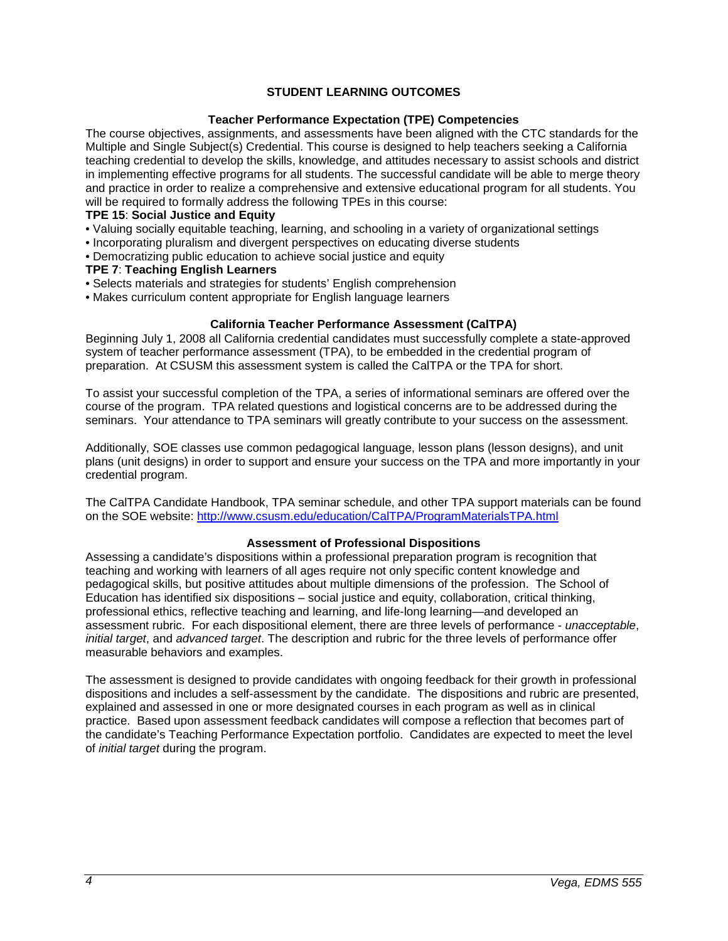## **STUDENT LEARNING OUTCOMES**

### **Teacher Performance Expectation (TPE) Competencies**

<span id="page-3-1"></span><span id="page-3-0"></span>The course objectives, assignments, and assessments have been aligned with the CTC standards for the Multiple and Single Subject(s) Credential. This course is designed to help teachers seeking a California teaching credential to develop the skills, knowledge, and attitudes necessary to assist schools and district in implementing effective programs for all students. The successful candidate will be able to merge theory and practice in order to realize a comprehensive and extensive educational program for all students. You will be required to formally address the following TPEs in this course:

# **TPE 15**: **Social Justice and Equity**

- Valuing socially equitable teaching, learning, and schooling in a variety of organizational settings
- Incorporating pluralism and divergent perspectives on educating diverse students
- Democratizing public education to achieve social justice and equity

#### **TPE 7**: **Teaching English Learners**

- Selects materials and strategies for students' English comprehension
- Makes curriculum content appropriate for English language learners

### **California Teacher Performance Assessment (CalTPA)**

<span id="page-3-2"></span>Beginning July 1, 2008 all California credential candidates must successfully complete a state-approved system of teacher performance assessment (TPA), to be embedded in the credential program of preparation. At CSUSM this assessment system is called the CalTPA or the TPA for short.

To assist your successful completion of the TPA, a series of informational seminars are offered over the course of the program. TPA related questions and logistical concerns are to be addressed during the seminars. Your attendance to TPA seminars will greatly contribute to your success on the assessment.

Additionally, SOE classes use common pedagogical language, lesson plans (lesson designs), and unit plans (unit designs) in order to support and ensure your success on the TPA and more importantly in your credential program.

The CalTPA Candidate Handbook, TPA seminar schedule, and other TPA support materials can be found on the SOE website: <http://www.csusm.edu/education/CalTPA/ProgramMaterialsTPA.html>

#### **Assessment of Professional Dispositions**

<span id="page-3-3"></span>Assessing a candidate's dispositions within a professional preparation program is recognition that teaching and working with learners of all ages require not only specific content knowledge and pedagogical skills, but positive attitudes about multiple dimensions of the profession. The School of Education has identified six dispositions – social justice and equity, collaboration, critical thinking, professional ethics, reflective teaching and learning, and life-long learning—and developed an assessment rubric. For each dispositional element, there are three levels of performance - *unacceptable*, *initial target*, and *advanced target*. The description and rubric for the three levels of performance offer measurable behaviors and examples.

<span id="page-3-4"></span>The assessment is designed to provide candidates with ongoing feedback for their growth in professional dispositions and includes a self-assessment by the candidate. The dispositions and rubric are presented, explained and assessed in one or more designated courses in each program as well as in clinical practice. Based upon assessment feedback candidates will compose a reflection that becomes part of the candidate's Teaching Performance Expectation portfolio. Candidates are expected to meet the level of *initial target* during the program.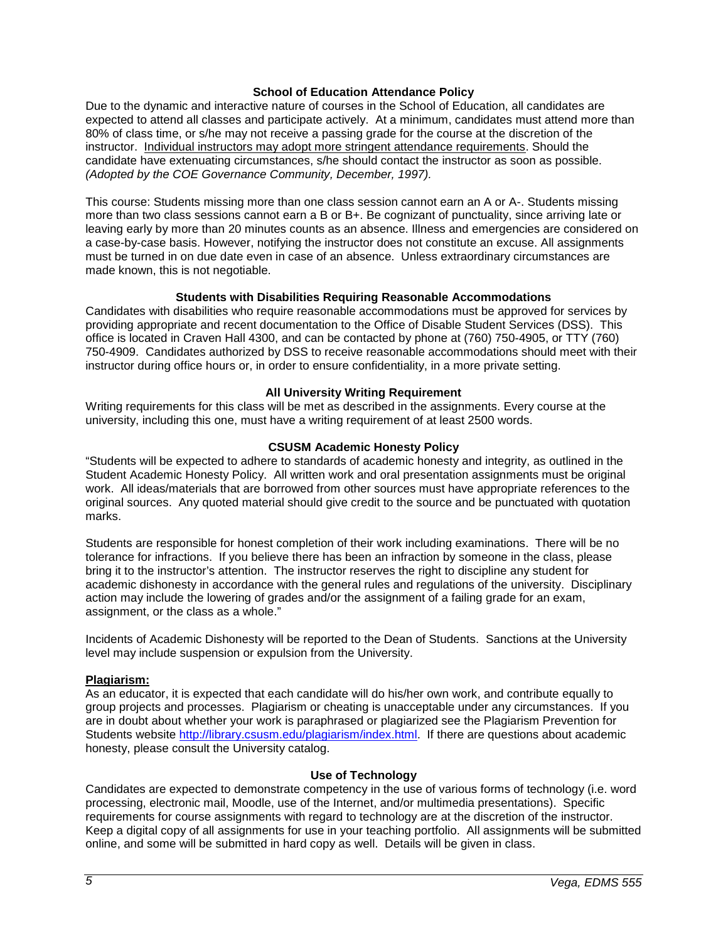### **School of Education Attendance Policy**

Due to the dynamic and interactive nature of courses in the School of Education, all candidates are expected to attend all classes and participate actively. At a minimum, candidates must attend more than 80% of class time, or s/he may not receive a passing grade for the course at the discretion of the instructor. Individual instructors may adopt more stringent attendance requirements. Should the candidate have extenuating circumstances, s/he should contact the instructor as soon as possible. *(Adopted by the COE Governance Community, December, 1997).*

This course: Students missing more than one class session cannot earn an A or A-. Students missing more than two class sessions cannot earn a B or B+. Be cognizant of punctuality, since arriving late or leaving early by more than 20 minutes counts as an absence. Illness and emergencies are considered on a case-by-case basis. However, notifying the instructor does not constitute an excuse. All assignments must be turned in on due date even in case of an absence. Unless extraordinary circumstances are made known, this is not negotiable.

### **Students with Disabilities Requiring Reasonable Accommodations**

<span id="page-4-0"></span>Candidates with disabilities who require reasonable accommodations must be approved for services by providing appropriate and recent documentation to the Office of Disable Student Services (DSS). This office is located in Craven Hall 4300, and can be contacted by phone at (760) 750-4905, or TTY (760) 750-4909. Candidates authorized by DSS to receive reasonable accommodations should meet with their instructor during office hours or, in order to ensure confidentiality, in a more private setting.

### **All University Writing Requirement**

<span id="page-4-1"></span>Writing requirements for this class will be met as described in the assignments. Every course at the university, including this one, must have a writing requirement of at least 2500 words.

### **CSUSM Academic Honesty Policy**

<span id="page-4-2"></span>"Students will be expected to adhere to standards of academic honesty and integrity, as outlined in the Student Academic Honesty Policy. All written work and oral presentation assignments must be original work. All ideas/materials that are borrowed from other sources must have appropriate references to the original sources. Any quoted material should give credit to the source and be punctuated with quotation marks.

Students are responsible for honest completion of their work including examinations. There will be no tolerance for infractions. If you believe there has been an infraction by someone in the class, please bring it to the instructor's attention. The instructor reserves the right to discipline any student for academic dishonesty in accordance with the general rules and regulations of the university. Disciplinary action may include the lowering of grades and/or the assignment of a failing grade for an exam, assignment, or the class as a whole."

Incidents of Academic Dishonesty will be reported to the Dean of Students. Sanctions at the University level may include suspension or expulsion from the University.

#### <span id="page-4-3"></span>**Plagiarism:**

As an educator, it is expected that each candidate will do his/her own work, and contribute equally to group projects and processes. Plagiarism or cheating is unacceptable under any circumstances. If you are in doubt about whether your work is paraphrased or plagiarized see the Plagiarism Prevention for Students website [http://library.csusm.edu/plagiarism/index.html.](http://library.csusm.edu/plagiarism/index.html) If there are questions about academic honesty, please consult the University catalog.

#### **Use of Technology**

<span id="page-4-4"></span>Candidates are expected to demonstrate competency in the use of various forms of technology (i.e. word processing, electronic mail, Moodle, use of the Internet, and/or multimedia presentations). Specific requirements for course assignments with regard to technology are at the discretion of the instructor. Keep a digital copy of all assignments for use in your teaching portfolio. All assignments will be submitted online, and some will be submitted in hard copy as well. Details will be given in class.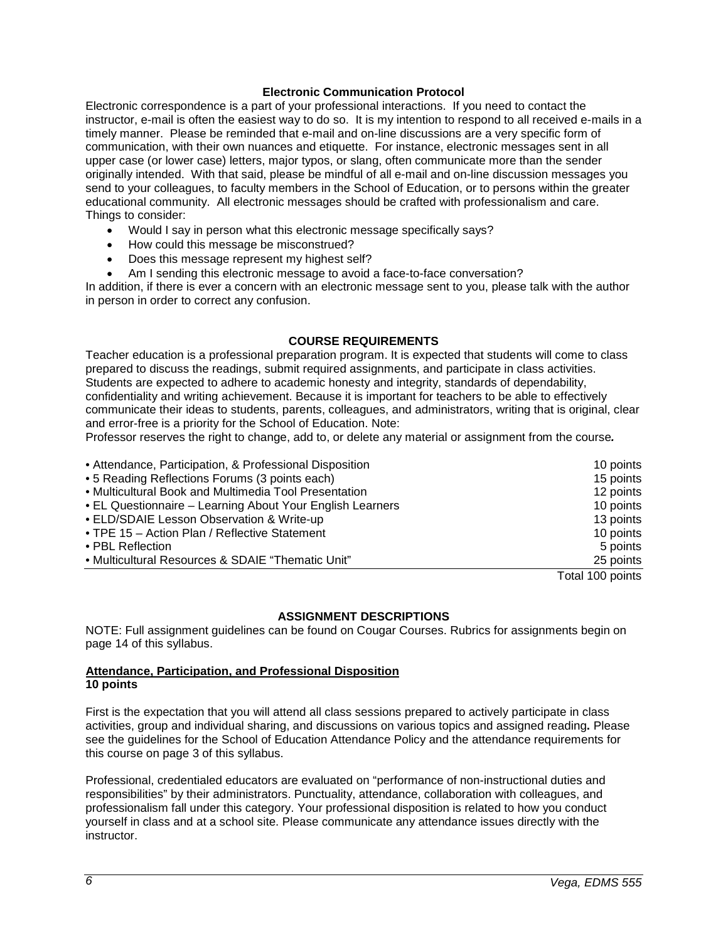### **Electronic Communication Protocol**

<span id="page-5-0"></span>Electronic correspondence is a part of your professional interactions. If you need to contact the instructor, e-mail is often the easiest way to do so. It is my intention to respond to all received e-mails in a timely manner. Please be reminded that e-mail and on-line discussions are a very specific form of communication, with their own nuances and etiquette. For instance, electronic messages sent in all upper case (or lower case) letters, major typos, or slang, often communicate more than the sender originally intended. With that said, please be mindful of all e-mail and on-line discussion messages you send to your colleagues, to faculty members in the School of Education, or to persons within the greater educational community. All electronic messages should be crafted with professionalism and care. Things to consider:

- Would I say in person what this electronic message specifically says?
- How could this message be misconstrued?
- Does this message represent my highest self?
- Am I sending this electronic message to avoid a face-to-face conversation?

In addition, if there is ever a concern with an electronic message sent to you, please talk with the author in person in order to correct any confusion.

#### **COURSE REQUIREMENTS**

<span id="page-5-1"></span>Teacher education is a professional preparation program. It is expected that students will come to class prepared to discuss the readings, submit required assignments, and participate in class activities. Students are expected to adhere to academic honesty and integrity, standards of dependability, confidentiality and writing achievement. Because it is important for teachers to be able to effectively communicate their ideas to students, parents, colleagues, and administrators, writing that is original, clear and error-free is a priority for the School of Education. Note:

Professor reserves the right to change, add to, or delete any material or assignment from the course*.*

| • Attendance, Participation, & Professional Disposition   | 10 points        |
|-----------------------------------------------------------|------------------|
| • 5 Reading Reflections Forums (3 points each)            | 15 points        |
| • Multicultural Book and Multimedia Tool Presentation     | 12 points        |
| • EL Questionnaire – Learning About Your English Learners | 10 points        |
| • ELD/SDAIE Lesson Observation & Write-up                 | 13 points        |
| • TPE 15 – Action Plan / Reflective Statement             | 10 points        |
| • PBL Reflection                                          | 5 points         |
| • Multicultural Resources & SDAIE "Thematic Unit"         | 25 points        |
|                                                           | Total 100 points |

#### **ASSIGNMENT DESCRIPTIONS**

<span id="page-5-2"></span>NOTE: Full assignment guidelines can be found on Cougar Courses. Rubrics for assignments begin on page 14 of this syllabus.

### **Attendance, Participation, and Professional Disposition 10 points**

First is the expectation that you will attend all class sessions prepared to actively participate in class activities, group and individual sharing, and discussions on various topics and assigned reading**.** Please see the guidelines for the School of Education Attendance Policy and the attendance requirements for this course on page 3 of this syllabus.

Professional, credentialed educators are evaluated on "performance of non-instructional duties and responsibilities" by their administrators. Punctuality, attendance, collaboration with colleagues, and professionalism fall under this category. Your professional disposition is related to how you conduct yourself in class and at a school site. Please communicate any attendance issues directly with the instructor.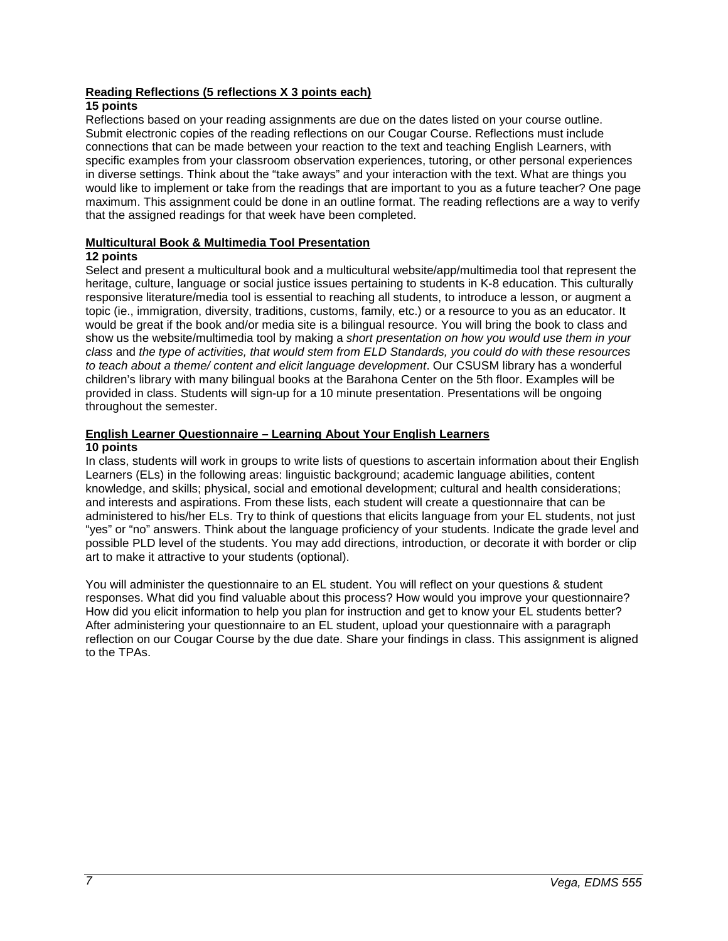## **Reading Reflections (5 reflections X 3 points each)**

# **15 points**

Reflections based on your reading assignments are due on the dates listed on your course outline. Submit electronic copies of the reading reflections on our Cougar Course. Reflections must include connections that can be made between your reaction to the text and teaching English Learners, with specific examples from your classroom observation experiences, tutoring, or other personal experiences in diverse settings. Think about the "take aways" and your interaction with the text. What are things you would like to implement or take from the readings that are important to you as a future teacher? One page maximum. This assignment could be done in an outline format. The reading reflections are a way to verify that the assigned readings for that week have been completed.

## **Multicultural Book & Multimedia Tool Presentation**

# **12 points**

Select and present a multicultural book and a multicultural website/app/multimedia tool that represent the heritage, culture, language or social justice issues pertaining to students in K-8 education. This culturally responsive literature/media tool is essential to reaching all students, to introduce a lesson, or augment a topic (ie., immigration, diversity, traditions, customs, family, etc.) or a resource to you as an educator. It would be great if the book and/or media site is a bilingual resource. You will bring the book to class and show us the website/multimedia tool by making a *short presentation on how you would use them in your class* and *the type of activities, that would stem from ELD Standards, you could do with these resources to teach about a theme/ content and elicit language development*. Our CSUSM library has a wonderful children's library with many bilingual books at the Barahona Center on the 5th floor. Examples will be provided in class. Students will sign-up for a 10 minute presentation. Presentations will be ongoing throughout the semester.

# **English Learner Questionnaire – Learning About Your English Learners**

### **10 points**

In class, students will work in groups to write lists of questions to ascertain information about their English Learners (ELs) in the following areas: linguistic background; academic language abilities, content knowledge, and skills; physical, social and emotional development; cultural and health considerations; and interests and aspirations. From these lists, each student will create a questionnaire that can be administered to his/her ELs. Try to think of questions that elicits language from your EL students, not just "yes" or "no" answers. Think about the language proficiency of your students. Indicate the grade level and possible PLD level of the students. You may add directions, introduction, or decorate it with border or clip art to make it attractive to your students (optional).

You will administer the questionnaire to an EL student. You will reflect on your questions & student responses. What did you find valuable about this process? How would you improve your questionnaire? How did you elicit information to help you plan for instruction and get to know your EL students better? After administering your questionnaire to an EL student, upload your questionnaire with a paragraph reflection on our Cougar Course by the due date. Share your findings in class. This assignment is aligned to the TPAs.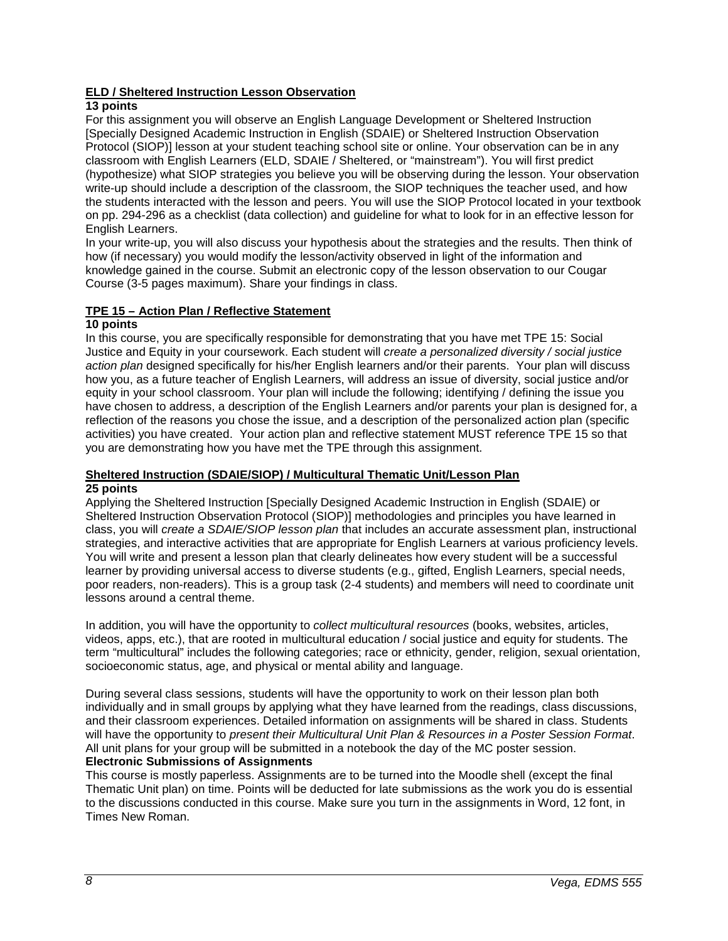# **ELD / Sheltered Instruction Lesson Observation**

# **13 points**

For this assignment you will observe an English Language Development or Sheltered Instruction [Specially Designed Academic Instruction in English (SDAIE) or Sheltered Instruction Observation Protocol (SIOP)] lesson at your student teaching school site or online. Your observation can be in any classroom with English Learners (ELD, SDAIE / Sheltered, or "mainstream"). You will first predict (hypothesize) what SIOP strategies you believe you will be observing during the lesson. Your observation write-up should include a description of the classroom, the SIOP techniques the teacher used, and how the students interacted with the lesson and peers. You will use the SIOP Protocol located in your textbook on pp. 294-296 as a checklist (data collection) and guideline for what to look for in an effective lesson for English Learners.

In your write-up, you will also discuss your hypothesis about the strategies and the results. Then think of how (if necessary) you would modify the lesson/activity observed in light of the information and knowledge gained in the course. Submit an electronic copy of the lesson observation to our Cougar Course (3-5 pages maximum). Share your findings in class.

# **TPE 15 – Action Plan / Reflective Statement**

## **10 points**

In this course, you are specifically responsible for demonstrating that you have met TPE 15: Social Justice and Equity in your coursework. Each student will *create a personalized diversity / social justice action plan* designed specifically for his/her English learners and/or their parents. Your plan will discuss how you, as a future teacher of English Learners, will address an issue of diversity, social justice and/or equity in your school classroom. Your plan will include the following; identifying / defining the issue you have chosen to address, a description of the English Learners and/or parents your plan is designed for, a reflection of the reasons you chose the issue, and a description of the personalized action plan (specific activities) you have created. Your action plan and reflective statement MUST reference TPE 15 so that you are demonstrating how you have met the TPE through this assignment.

### **Sheltered Instruction (SDAIE/SIOP) / Multicultural Thematic Unit/Lesson Plan 25 points**

Applying the Sheltered Instruction [Specially Designed Academic Instruction in English (SDAIE) or Sheltered Instruction Observation Protocol (SIOP)] methodologies and principles you have learned in class, you will *create a SDAIE/SIOP lesson plan* that includes an accurate assessment plan, instructional strategies, and interactive activities that are appropriate for English Learners at various proficiency levels. You will write and present a lesson plan that clearly delineates how every student will be a successful learner by providing universal access to diverse students (e.g., gifted, English Learners, special needs, poor readers, non-readers). This is a group task (2-4 students) and members will need to coordinate unit lessons around a central theme.

In addition, you will have the opportunity to *collect multicultural resources* (books, websites, articles, videos, apps, etc.), that are rooted in multicultural education / social justice and equity for students. The term "multicultural" includes the following categories; race or ethnicity, gender, religion, sexual orientation, socioeconomic status, age, and physical or mental ability and language.

During several class sessions, students will have the opportunity to work on their lesson plan both individually and in small groups by applying what they have learned from the readings, class discussions, and their classroom experiences. Detailed information on assignments will be shared in class. Students will have the opportunity to *present their Multicultural Unit Plan & Resources in a Poster Session Format*. All unit plans for your group will be submitted in a notebook the day of the MC poster session. **Electronic Submissions of Assignments**

<span id="page-7-0"></span>This course is mostly paperless. Assignments are to be turned into the Moodle shell (except the final Thematic Unit plan) on time. Points will be deducted for late submissions as the work you do is essential to the discussions conducted in this course. Make sure you turn in the assignments in Word, 12 font, in Times New Roman.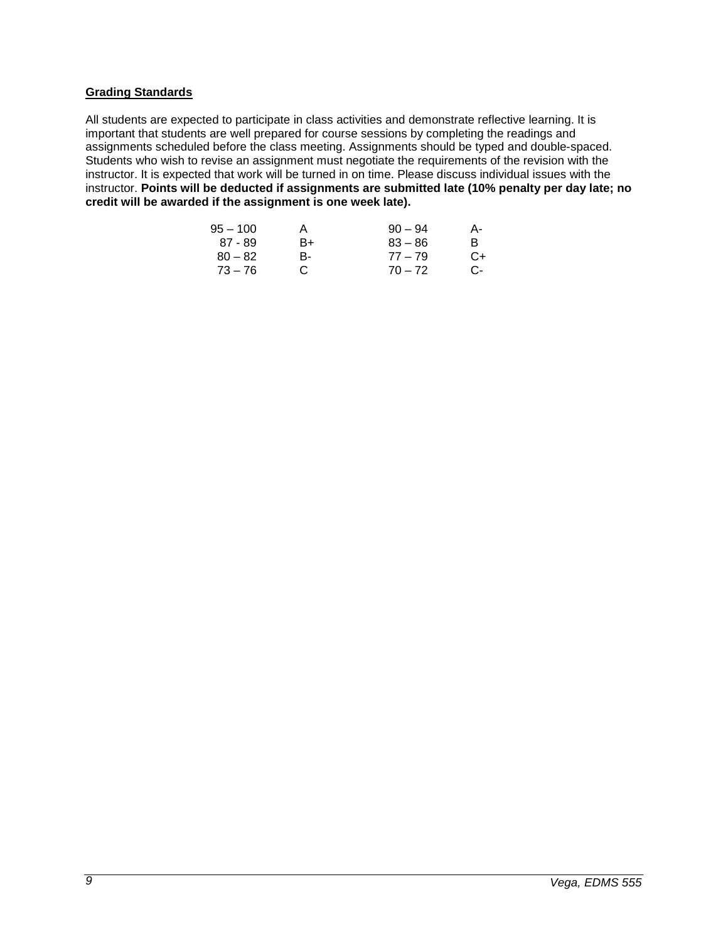### **Grading Standards**

All students are expected to participate in class activities and demonstrate reflective learning. It is important that students are well prepared for course sessions by completing the readings and assignments scheduled before the class meeting. Assignments should be typed and double-spaced. Students who wish to revise an assignment must negotiate the requirements of the revision with the instructor. It is expected that work will be turned in on time. Please discuss individual issues with the instructor. **Points will be deducted if assignments are submitted late (10% penalty per day late; no credit will be awarded if the assignment is one week late).**

| A  | $90 - 94$ | А- |
|----|-----------|----|
| B+ | $83 - 86$ | B. |
| В- | $77 - 79$ | C+ |
| C. | $70 - 72$ | C- |
|    |           |    |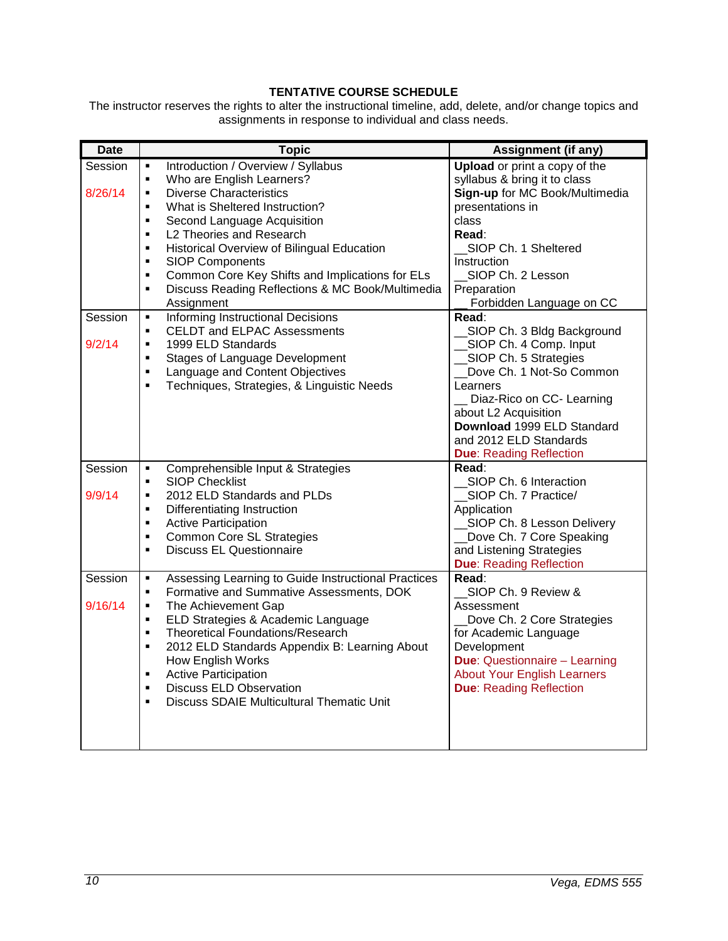# **TENTATIVE COURSE SCHEDULE**

<span id="page-9-0"></span>The instructor reserves the rights to alter the instructional timeline, add, delete, and/or change topics and assignments in response to individual and class needs.

| <b>Date</b> | <b>Topic</b>                                                       | Assignment (if any)                  |
|-------------|--------------------------------------------------------------------|--------------------------------------|
| Session     | Introduction / Overview / Syllabus<br>$\blacksquare$               | <b>Upload</b> or print a copy of the |
|             | Who are English Learners?<br>$\blacksquare$                        | syllabus & bring it to class         |
| 8/26/14     | <b>Diverse Characteristics</b><br>$\blacksquare$                   | Sign-up for MC Book/Multimedia       |
|             | What is Sheltered Instruction?<br>$\blacksquare$                   | presentations in                     |
|             | Second Language Acquisition<br>$\blacksquare$                      | class                                |
|             | L2 Theories and Research<br>$\blacksquare$                         | Read:                                |
|             | Historical Overview of Bilingual Education<br>٠                    | SIOP Ch. 1 Sheltered                 |
|             | <b>SIOP Components</b><br>$\blacksquare$                           | Instruction                          |
|             | Common Core Key Shifts and Implications for ELs<br>$\blacksquare$  | SIOP Ch. 2 Lesson                    |
|             | Discuss Reading Reflections & MC Book/Multimedia<br>$\blacksquare$ | Preparation                          |
|             | Assignment                                                         | Forbidden Language on CC             |
| Session     | <b>Informing Instructional Decisions</b><br>٠                      | Read:                                |
|             | <b>CELDT and ELPAC Assessments</b><br>$\blacksquare$               | SIOP Ch. 3 Bldg Background           |
| 9/2/14      | 1999 ELD Standards<br>٠                                            | SIOP Ch. 4 Comp. Input               |
|             | <b>Stages of Language Development</b><br>٠                         | SIOP Ch. 5 Strategies                |
|             | Language and Content Objectives<br>$\blacksquare$                  | Dove Ch. 1 Not-So Common             |
|             | Techniques, Strategies, & Linguistic Needs<br>٠                    | Learners                             |
|             |                                                                    | _ Diaz-Rico on CC- Learning          |
|             |                                                                    | about L2 Acquisition                 |
|             |                                                                    | Download 1999 ELD Standard           |
|             |                                                                    | and 2012 ELD Standards               |
|             |                                                                    | <b>Due: Reading Reflection</b>       |
| Session     | Comprehensible Input & Strategies<br>٠                             | Read:                                |
|             | <b>SIOP Checklist</b><br>$\blacksquare$                            | SIOP Ch. 6 Interaction               |
| 9/9/14      | 2012 ELD Standards and PLDs<br>$\blacksquare$                      | SIOP Ch. 7 Practice/                 |
|             | Differentiating Instruction<br>٠                                   | Application                          |
|             | <b>Active Participation</b><br>$\blacksquare$                      | _SIOP Ch. 8 Lesson Delivery          |
|             | <b>Common Core SL Strategies</b><br>$\blacksquare$                 | Dove Ch. 7 Core Speaking             |
|             | <b>Discuss EL Questionnaire</b><br>٠                               | and Listening Strategies             |
|             |                                                                    | <b>Due: Reading Reflection</b>       |
| Session     | Assessing Learning to Guide Instructional Practices<br>٠           | Read:                                |
|             | Formative and Summative Assessments, DOK<br>$\blacksquare$         | SIOP Ch. 9 Review &                  |
| 9/16/14     | The Achievement Gap<br>٠                                           | Assessment                           |
|             | ELD Strategies & Academic Language<br>٠                            | Dove Ch. 2 Core Strategies           |
|             | <b>Theoretical Foundations/Research</b><br>$\blacksquare$          | for Academic Language                |
|             | 2012 ELD Standards Appendix B: Learning About<br>$\blacksquare$    | Development                          |
|             | How English Works                                                  | <b>Due: Questionnaire - Learning</b> |
|             | <b>Active Participation</b><br>٠                                   | <b>About Your English Learners</b>   |
|             | <b>Discuss ELD Observation</b><br>$\blacksquare$                   | <b>Due: Reading Reflection</b>       |
|             | <b>Discuss SDAIE Multicultural Thematic Unit</b><br>٠              |                                      |
|             |                                                                    |                                      |
|             |                                                                    |                                      |
|             |                                                                    |                                      |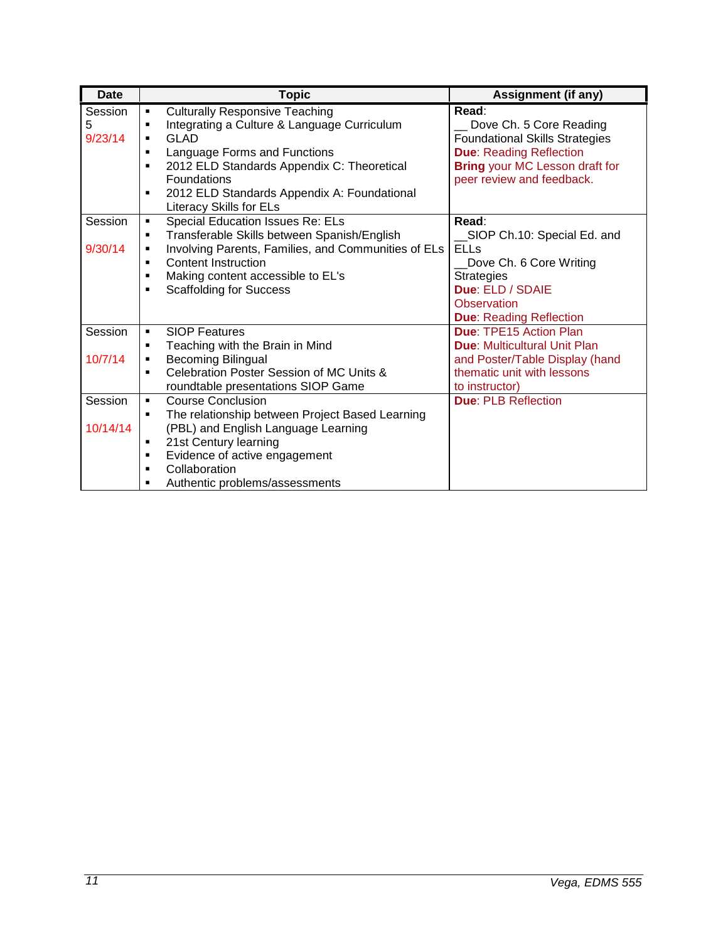| <b>Date</b> | <b>Topic</b>                                                 | <b>Assignment (if any)</b>            |
|-------------|--------------------------------------------------------------|---------------------------------------|
| Session     | <b>Culturally Responsive Teaching</b><br>٠                   | Read:                                 |
| 5           | Integrating a Culture & Language Curriculum<br>٠             | Dove Ch. 5 Core Reading               |
| 9/23/14     | <b>GLAD</b><br>٠                                             | <b>Foundational Skills Strategies</b> |
|             | Language Forms and Functions<br>٠                            | <b>Due: Reading Reflection</b>        |
|             | 2012 ELD Standards Appendix C: Theoretical<br>$\blacksquare$ | <b>Bring your MC Lesson draft for</b> |
|             | Foundations                                                  | peer review and feedback.             |
|             | 2012 ELD Standards Appendix A: Foundational<br>٠             |                                       |
|             | Literacy Skills for ELs                                      |                                       |
| Session     | <b>Special Education Issues Re: ELs</b><br>٠                 | Read:                                 |
|             | Transferable Skills between Spanish/English<br>٠             | SIOP Ch.10: Special Ed. and           |
| 9/30/14     | Involving Parents, Families, and Communities of ELs<br>٠     | <b>ELLs</b>                           |
|             | <b>Content Instruction</b><br>٠                              | Dove Ch. 6 Core Writing               |
|             | Making content accessible to EL's                            | <b>Strategies</b>                     |
|             | <b>Scaffolding for Success</b><br>٠                          | Due: ELD / SDAIE                      |
|             |                                                              | Observation                           |
|             |                                                              | <b>Due: Reading Reflection</b>        |
| Session     | <b>SIOP Features</b><br>$\blacksquare$                       | <b>Due: TPE15 Action Plan</b>         |
|             | Teaching with the Brain in Mind<br>٠                         | <b>Due: Multicultural Unit Plan</b>   |
| 10/7/14     | <b>Becoming Bilingual</b><br>٠                               | and Poster/Table Display (hand        |
|             | Celebration Poster Session of MC Units &                     | thematic unit with lessons            |
|             | roundtable presentations SIOP Game                           | to instructor)                        |
| Session     | <b>Course Conclusion</b><br>٠                                | <b>Due: PLB Reflection</b>            |
|             | The relationship between Project Based Learning              |                                       |
| 10/14/14    | (PBL) and English Language Learning                          |                                       |
|             | 21st Century learning<br>٠                                   |                                       |
|             | Evidence of active engagement<br>٠                           |                                       |
|             | Collaboration<br>٠                                           |                                       |
|             | Authentic problems/assessments<br>٠                          |                                       |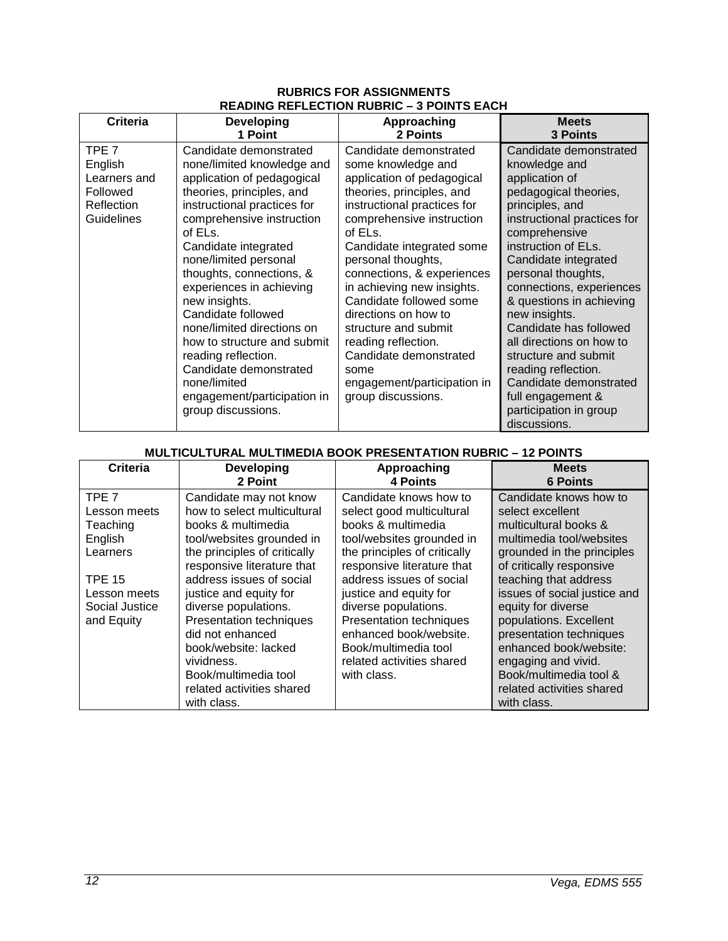### **RUBRICS FOR ASSIGNMENTS READING REFLECTION RUBRIC – 3 POINTS EACH**

<span id="page-11-0"></span>

| Criteria                                                                 | <b>Developing</b>                                                                                                                                                                                                                                                                                                                                                                                                                                                                                                         | Approaching                                                                                                                                                                                                                                                                                                                                                                                                                                                                            | <b>Meets</b>                                                                                                                                                                                                                                                                                                                                                                                                                                                                                      |
|--------------------------------------------------------------------------|---------------------------------------------------------------------------------------------------------------------------------------------------------------------------------------------------------------------------------------------------------------------------------------------------------------------------------------------------------------------------------------------------------------------------------------------------------------------------------------------------------------------------|----------------------------------------------------------------------------------------------------------------------------------------------------------------------------------------------------------------------------------------------------------------------------------------------------------------------------------------------------------------------------------------------------------------------------------------------------------------------------------------|---------------------------------------------------------------------------------------------------------------------------------------------------------------------------------------------------------------------------------------------------------------------------------------------------------------------------------------------------------------------------------------------------------------------------------------------------------------------------------------------------|
|                                                                          | 1 Point                                                                                                                                                                                                                                                                                                                                                                                                                                                                                                                   | 2 Points                                                                                                                                                                                                                                                                                                                                                                                                                                                                               | <b>3 Points</b>                                                                                                                                                                                                                                                                                                                                                                                                                                                                                   |
| TPE 7<br>English<br>Learners and<br>Followed<br>Reflection<br>Guidelines | Candidate demonstrated<br>none/limited knowledge and<br>application of pedagogical<br>theories, principles, and<br>instructional practices for<br>comprehensive instruction<br>of ELs.<br>Candidate integrated<br>none/limited personal<br>thoughts, connections, &<br>experiences in achieving<br>new insights.<br>Candidate followed<br>none/limited directions on<br>how to structure and submit<br>reading reflection.<br>Candidate demonstrated<br>none/limited<br>engagement/participation in<br>group discussions. | Candidate demonstrated<br>some knowledge and<br>application of pedagogical<br>theories, principles, and<br>instructional practices for<br>comprehensive instruction<br>of ELs.<br>Candidate integrated some<br>personal thoughts,<br>connections, & experiences<br>in achieving new insights.<br>Candidate followed some<br>directions on how to<br>structure and submit<br>reading reflection.<br>Candidate demonstrated<br>some<br>engagement/participation in<br>group discussions. | Candidate demonstrated<br>knowledge and<br>application of<br>pedagogical theories,<br>principles, and<br>instructional practices for<br>comprehensive<br>instruction of ELs.<br>Candidate integrated<br>personal thoughts,<br>connections, experiences<br>& questions in achieving<br>new insights.<br>Candidate has followed<br>all directions on how to<br>structure and submit<br>reading reflection.<br>Candidate demonstrated<br>full engagement &<br>participation in group<br>discussions. |

# **MULTICULTURAL MULTIMEDIA BOOK PRESENTATION RUBRIC – 12 POINTS**

| Criteria                         | <b>Developing</b><br>2 Point                          | Approaching<br>4 Points                             | <b>Meets</b><br><b>6 Points</b>            |
|----------------------------------|-------------------------------------------------------|-----------------------------------------------------|--------------------------------------------|
| TPE <sub>7</sub><br>Lesson meets | Candidate may not know<br>how to select multicultural | Candidate knows how to<br>select good multicultural | Candidate knows how to<br>select excellent |
| Teaching                         | books & multimedia                                    | books & multimedia                                  | multicultural books &                      |
| English                          | tool/websites grounded in                             | tool/websites grounded in                           | multimedia tool/websites                   |
| Learners                         | the principles of critically                          | the principles of critically                        | grounded in the principles                 |
|                                  | responsive literature that                            | responsive literature that                          | of critically responsive                   |
| <b>TPE 15</b>                    | address issues of social                              | address issues of social                            | teaching that address                      |
| Lesson meets                     | justice and equity for                                | justice and equity for                              | issues of social justice and               |
| Social Justice                   | diverse populations.                                  | diverse populations.                                | equity for diverse                         |
| and Equity                       | Presentation techniques                               | <b>Presentation techniques</b>                      | populations. Excellent                     |
|                                  | did not enhanced                                      | enhanced book/website.                              | presentation techniques                    |
|                                  | book/website: lacked                                  | Book/multimedia tool                                | enhanced book/website:                     |
|                                  | vividness.                                            | related activities shared                           | engaging and vivid.                        |
|                                  | Book/multimedia tool                                  | with class.                                         | Book/multimedia tool &                     |
|                                  | related activities shared                             |                                                     | related activities shared                  |
|                                  | with class.                                           |                                                     | with class.                                |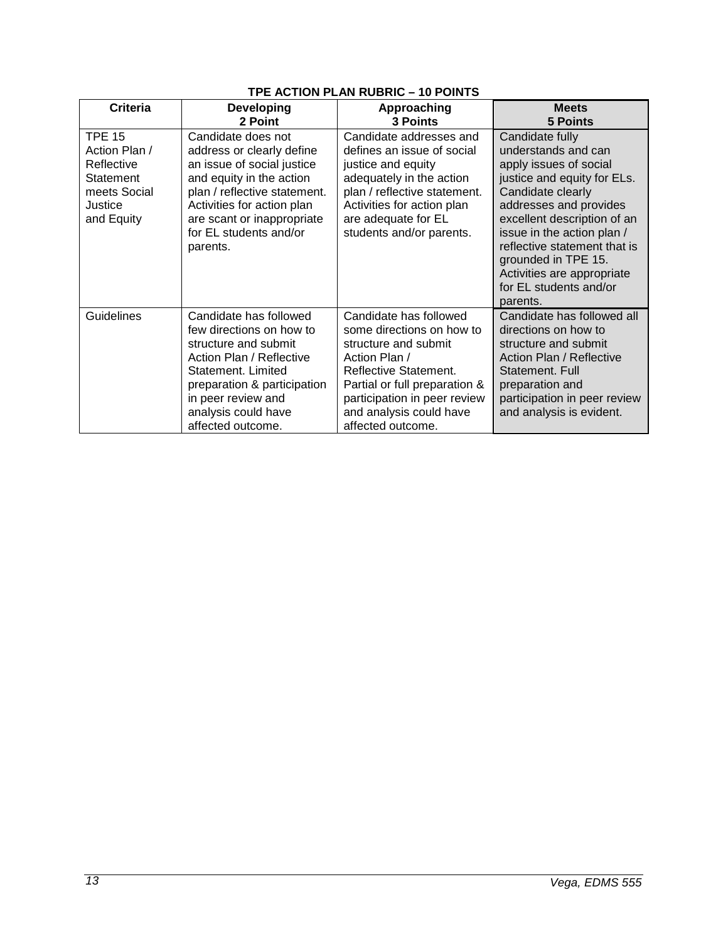| Criteria                                                                                           | <b>Developing</b><br>2 Point                                                                                                                                                                                                                | Approaching<br>3 Points                                                                                                                                                                                                                | <b>Meets</b><br><b>5 Points</b>                                                                                                                                                                                                                                                                                                        |
|----------------------------------------------------------------------------------------------------|---------------------------------------------------------------------------------------------------------------------------------------------------------------------------------------------------------------------------------------------|----------------------------------------------------------------------------------------------------------------------------------------------------------------------------------------------------------------------------------------|----------------------------------------------------------------------------------------------------------------------------------------------------------------------------------------------------------------------------------------------------------------------------------------------------------------------------------------|
| <b>TPE 15</b><br>Action Plan /<br>Reflective<br>Statement<br>meets Social<br>Justice<br>and Equity | Candidate does not<br>address or clearly define<br>an issue of social justice<br>and equity in the action<br>plan / reflective statement.<br>Activities for action plan<br>are scant or inappropriate<br>for EL students and/or<br>parents. | Candidate addresses and<br>defines an issue of social<br>justice and equity<br>adequately in the action<br>plan / reflective statement.<br>Activities for action plan<br>are adequate for EL<br>students and/or parents.               | Candidate fully<br>understands and can<br>apply issues of social<br>justice and equity for ELs.<br>Candidate clearly<br>addresses and provides<br>excellent description of an<br>issue in the action plan /<br>reflective statement that is<br>grounded in TPE 15.<br>Activities are appropriate<br>for EL students and/or<br>parents. |
| Guidelines                                                                                         | Candidate has followed<br>few directions on how to<br>structure and submit<br>Action Plan / Reflective<br>Statement, Limited<br>preparation & participation<br>in peer review and<br>analysis could have<br>affected outcome.               | Candidate has followed<br>some directions on how to<br>structure and submit<br>Action Plan /<br>Reflective Statement.<br>Partial or full preparation &<br>participation in peer review<br>and analysis could have<br>affected outcome. | Candidate has followed all<br>directions on how to<br>structure and submit<br>Action Plan / Reflective<br>Statement. Full<br>preparation and<br>participation in peer review<br>and analysis is evident.                                                                                                                               |

# **TPE ACTION PLAN RUBRIC – 10 POINTS**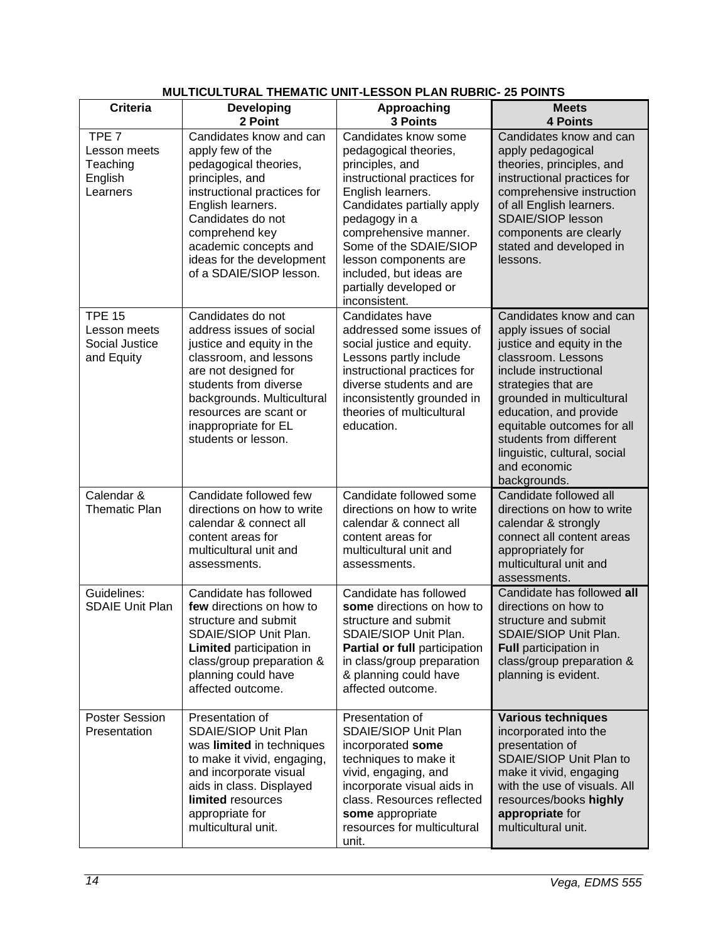| <b>Criteria</b>                                                     | <b>Developing</b>                                                                                                                                                                                                                                                   | Approaching                                                                                                                                                                                                                                                                                                           | <b>Meets</b>                                                                                                                                                                                                                                                                                                                         |
|---------------------------------------------------------------------|---------------------------------------------------------------------------------------------------------------------------------------------------------------------------------------------------------------------------------------------------------------------|-----------------------------------------------------------------------------------------------------------------------------------------------------------------------------------------------------------------------------------------------------------------------------------------------------------------------|--------------------------------------------------------------------------------------------------------------------------------------------------------------------------------------------------------------------------------------------------------------------------------------------------------------------------------------|
|                                                                     | 2 Point                                                                                                                                                                                                                                                             | 3 Points                                                                                                                                                                                                                                                                                                              | <b>4 Points</b>                                                                                                                                                                                                                                                                                                                      |
| TPE <sub>7</sub><br>Lesson meets<br>Teaching<br>English<br>Learners | Candidates know and can<br>apply few of the<br>pedagogical theories,<br>principles, and<br>instructional practices for<br>English learners.<br>Candidates do not<br>comprehend key<br>academic concepts and<br>ideas for the development<br>of a SDAIE/SIOP lesson. | Candidates know some<br>pedagogical theories,<br>principles, and<br>instructional practices for<br>English learners.<br>Candidates partially apply<br>pedagogy in a<br>comprehensive manner.<br>Some of the SDAIE/SIOP<br>lesson components are<br>included, but ideas are<br>partially developed or<br>inconsistent. | Candidates know and can<br>apply pedagogical<br>theories, principles, and<br>instructional practices for<br>comprehensive instruction<br>of all English learners.<br><b>SDAIE/SIOP lesson</b><br>components are clearly<br>stated and developed in<br>lessons.                                                                       |
| <b>TPE 15</b><br>Lesson meets<br>Social Justice<br>and Equity       | Candidates do not<br>address issues of social<br>justice and equity in the<br>classroom, and lessons<br>are not designed for<br>students from diverse<br>backgrounds. Multicultural<br>resources are scant or<br>inappropriate for EL<br>students or lesson.        | Candidates have<br>addressed some issues of<br>social justice and equity.<br>Lessons partly include<br>instructional practices for<br>diverse students and are<br>inconsistently grounded in<br>theories of multicultural<br>education.                                                                               | Candidates know and can<br>apply issues of social<br>justice and equity in the<br>classroom. Lessons<br>include instructional<br>strategies that are<br>grounded in multicultural<br>education, and provide<br>equitable outcomes for all<br>students from different<br>linguistic, cultural, social<br>and economic<br>backgrounds. |
| Calendar &<br><b>Thematic Plan</b>                                  | Candidate followed few<br>directions on how to write<br>calendar & connect all<br>content areas for<br>multicultural unit and<br>assessments.                                                                                                                       | Candidate followed some<br>directions on how to write<br>calendar & connect all<br>content areas for<br>multicultural unit and<br>assessments.                                                                                                                                                                        | Candidate followed all<br>directions on how to write<br>calendar & strongly<br>connect all content areas<br>appropriately for<br>multicultural unit and<br>assessments.                                                                                                                                                              |
| Guidelines:<br><b>SDAIE Unit Plan</b>                               | Candidate has followed<br>few directions on how to<br>structure and submit<br>SDAIE/SIOP Unit Plan.<br>Limited participation in<br>class/group preparation &<br>planning could have<br>affected outcome.                                                            | Candidate has followed<br>some directions on how to<br>structure and submit<br>SDAIE/SIOP Unit Plan.<br>Partial or full participation<br>in class/group preparation<br>& planning could have<br>affected outcome.                                                                                                     | Candidate has followed all<br>directions on how to<br>structure and submit<br>SDAIE/SIOP Unit Plan.<br><b>Full participation in</b><br>class/group preparation &<br>planning is evident.                                                                                                                                             |
| Poster Session<br>Presentation                                      | Presentation of<br>SDAIE/SIOP Unit Plan<br>was limited in techniques<br>to make it vivid, engaging,<br>and incorporate visual<br>aids in class. Displayed<br>limited resources<br>appropriate for<br>multicultural unit.                                            | Presentation of<br>SDAIE/SIOP Unit Plan<br>incorporated some<br>techniques to make it<br>vivid, engaging, and<br>incorporate visual aids in<br>class. Resources reflected<br>some appropriate<br>resources for multicultural<br>unit.                                                                                 | <b>Various techniques</b><br>incorporated into the<br>presentation of<br>SDAIE/SIOP Unit Plan to<br>make it vivid, engaging<br>with the use of visuals. All<br>resources/books highly<br>appropriate for<br>multicultural unit.                                                                                                      |

# **MULTICULTURAL THEMATIC UNIT-LESSON PLAN RUBRIC- 25 POINTS**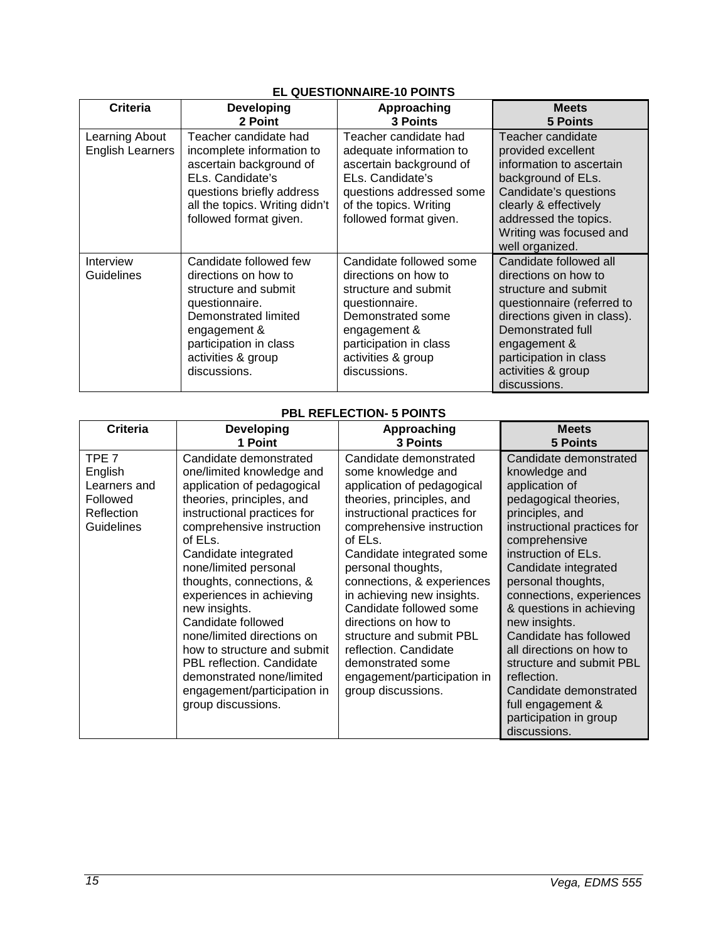| <b>Criteria</b>                    | Developing<br>2 Point                                                                                                                                                                            | Approaching<br><b>3 Points</b>                                                                                                                                                                 | <b>Meets</b><br>5 Points                                                                                                                                                                                                                 |
|------------------------------------|--------------------------------------------------------------------------------------------------------------------------------------------------------------------------------------------------|------------------------------------------------------------------------------------------------------------------------------------------------------------------------------------------------|------------------------------------------------------------------------------------------------------------------------------------------------------------------------------------------------------------------------------------------|
| Learning About<br>English Learners | Teacher candidate had<br>incomplete information to<br>ascertain background of<br>ELs. Candidate's<br>questions briefly address<br>all the topics. Writing didn't<br>followed format given.       | Teacher candidate had<br>adequate information to<br>ascertain background of<br>ELs. Candidate's<br>questions addressed some<br>of the topics. Writing<br>followed format given.                | Teacher candidate<br>provided excellent<br>information to ascertain<br>background of ELs.<br>Candidate's questions<br>clearly & effectively<br>addressed the topics.<br>Writing was focused and                                          |
|                                    |                                                                                                                                                                                                  |                                                                                                                                                                                                | well organized.                                                                                                                                                                                                                          |
| Interview<br>Guidelines            | Candidate followed few<br>directions on how to<br>structure and submit<br>questionnaire.<br>Demonstrated limited<br>engagement &<br>participation in class<br>activities & group<br>discussions. | Candidate followed some<br>directions on how to<br>structure and submit<br>questionnaire.<br>Demonstrated some<br>engagement &<br>participation in class<br>activities & group<br>discussions. | Candidate followed all<br>directions on how to<br>structure and submit<br>questionnaire (referred to<br>directions given in class).<br>Demonstrated full<br>engagement &<br>participation in class<br>activities & group<br>discussions. |

# **PBL REFLECTION- 5 POINTS**

| <b>Criteria</b>                                                                     | <b>Developing</b>                                                                                                                                                                                                                                                                                                                                                                                                                                                                                                 | Approaching                                                                                                                                                                                                                                                                                                                                                                                                                                                                     | <b>Meets</b>                                                                                                                                                                                                                                                                                                                                                                                                                                                                                  |
|-------------------------------------------------------------------------------------|-------------------------------------------------------------------------------------------------------------------------------------------------------------------------------------------------------------------------------------------------------------------------------------------------------------------------------------------------------------------------------------------------------------------------------------------------------------------------------------------------------------------|---------------------------------------------------------------------------------------------------------------------------------------------------------------------------------------------------------------------------------------------------------------------------------------------------------------------------------------------------------------------------------------------------------------------------------------------------------------------------------|-----------------------------------------------------------------------------------------------------------------------------------------------------------------------------------------------------------------------------------------------------------------------------------------------------------------------------------------------------------------------------------------------------------------------------------------------------------------------------------------------|
|                                                                                     | 1 Point                                                                                                                                                                                                                                                                                                                                                                                                                                                                                                           | 3 Points                                                                                                                                                                                                                                                                                                                                                                                                                                                                        | <b>5 Points</b>                                                                                                                                                                                                                                                                                                                                                                                                                                                                               |
| TPE <sub>7</sub><br>English<br>Learners and<br>Followed<br>Reflection<br>Guidelines | Candidate demonstrated<br>one/limited knowledge and<br>application of pedagogical<br>theories, principles, and<br>instructional practices for<br>comprehensive instruction<br>of ELs.<br>Candidate integrated<br>none/limited personal<br>thoughts, connections, &<br>experiences in achieving<br>new insights.<br>Candidate followed<br>none/limited directions on<br>how to structure and submit<br>PBL reflection. Candidate<br>demonstrated none/limited<br>engagement/participation in<br>group discussions. | Candidate demonstrated<br>some knowledge and<br>application of pedagogical<br>theories, principles, and<br>instructional practices for<br>comprehensive instruction<br>of ELs.<br>Candidate integrated some<br>personal thoughts,<br>connections, & experiences<br>in achieving new insights.<br>Candidate followed some<br>directions on how to<br>structure and submit PBL<br>reflection. Candidate<br>demonstrated some<br>engagement/participation in<br>group discussions. | Candidate demonstrated<br>knowledge and<br>application of<br>pedagogical theories,<br>principles, and<br>instructional practices for<br>comprehensive<br>instruction of ELs.<br>Candidate integrated<br>personal thoughts,<br>connections, experiences<br>& questions in achieving<br>new insights.<br>Candidate has followed<br>all directions on how to<br>structure and submit PBL<br>reflection.<br>Candidate demonstrated<br>full engagement &<br>participation in group<br>discussions. |